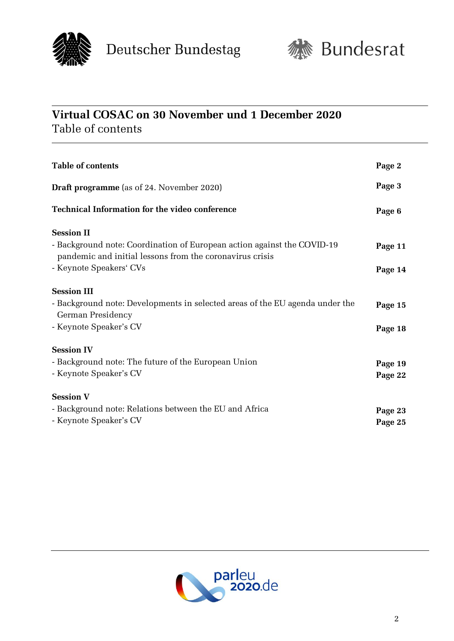



## **Virtual COSAC on 30 November und 1 December 2020**  Table of contents

| <b>Table of contents</b>                                                                                                                                                            | Page 2             |
|-------------------------------------------------------------------------------------------------------------------------------------------------------------------------------------|--------------------|
| Draft programme (as of 24. November 2020)                                                                                                                                           | Page 3             |
| <b>Technical Information for the video conference</b>                                                                                                                               | Page 6             |
| <b>Session II</b><br>- Background note: Coordination of European action against the COVID-19<br>pandemic and initial lessons from the coronavirus crisis<br>- Keynote Speakers' CVs | Page 11<br>Page 14 |
| <b>Session III</b><br>- Background note: Developments in selected areas of the EU agenda under the<br>German Presidency<br>- Keynote Speaker's CV                                   | Page 15<br>Page 18 |
| <b>Session IV</b><br>- Background note: The future of the European Union<br>- Keynote Speaker's CV                                                                                  | Page 19<br>Page 22 |
| <b>Session V</b><br>- Background note: Relations between the EU and Africa<br>- Keynote Speaker's CV                                                                                | Page 23<br>Page 25 |

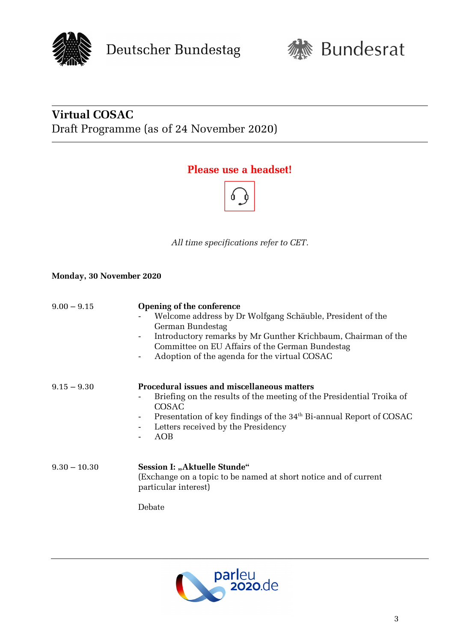



# **Virtual COSAC** Draft Programme (as of 24 November 2020)

### **Please use a headset!**



*All time specifications refer to CET.*

#### **Monday, 30 November 2020**

| $9.00 - 9.15$  | Opening of the conference<br>Welcome address by Dr Wolfgang Schäuble, President of the<br>German Bundestag<br>Introductory remarks by Mr Gunther Krichbaum, Chairman of the<br>Committee on EU Affairs of the German Bundestag<br>Adoption of the agenda for the virtual COSAC<br>٠ |  |  |
|----------------|-------------------------------------------------------------------------------------------------------------------------------------------------------------------------------------------------------------------------------------------------------------------------------------|--|--|
| $9.15 - 9.30$  | <b>Procedural issues and miscellaneous matters</b><br>Briefing on the results of the meeting of the Presidential Troika of<br>COSAC<br>Presentation of key findings of the 34 <sup>th</sup> Bi-annual Report of COSAC<br>Letters received by the Presidency<br>AOB                  |  |  |
| $9.30 - 10.30$ | Session I: "Aktuelle Stunde"<br>(Exchange on a topic to be named at short notice and of current<br>particular interest)                                                                                                                                                             |  |  |
|                | Debate                                                                                                                                                                                                                                                                              |  |  |

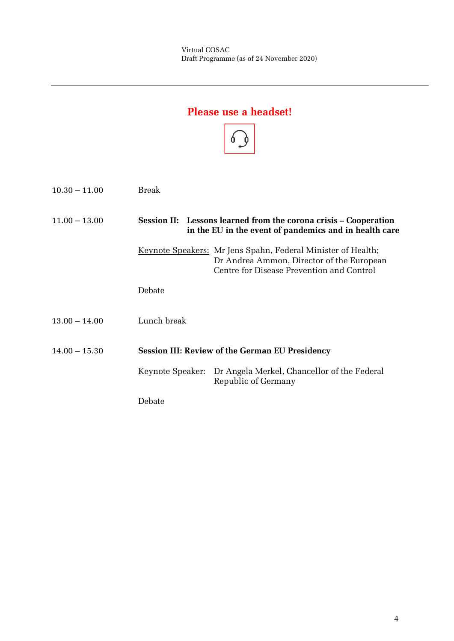## **Please use a headset!**



| $10.30 - 11.00$ | Break                                                  |                                                                                                                                                               |
|-----------------|--------------------------------------------------------|---------------------------------------------------------------------------------------------------------------------------------------------------------------|
| $11.00 - 13.00$ |                                                        | Session II: Lessons learned from the corona crisis – Cooperation<br>in the EU in the event of pandemics and in health care                                    |
|                 |                                                        | <u>Keynote Speakers:</u> Mr Jens Spahn, Federal Minister of Health;<br>Dr Andrea Ammon, Director of the European<br>Centre for Disease Prevention and Control |
|                 | Debate                                                 |                                                                                                                                                               |
| $13.00 - 14.00$ | Lunch break                                            |                                                                                                                                                               |
| $14.00 - 15.30$ | <b>Session III: Review of the German EU Presidency</b> |                                                                                                                                                               |
|                 | <u> Keynote Speaker</u> :                              | Dr Angela Merkel, Chancellor of the Federal<br>Republic of Germany                                                                                            |
|                 | Debate                                                 |                                                                                                                                                               |